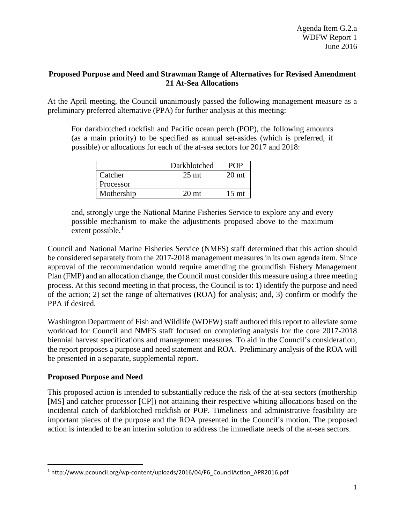### **Proposed Purpose and Need and Strawman Range of Alternatives for Revised Amendment 21 At-Sea Allocations**

At the April meeting, the Council unanimously passed the following management measure as a preliminary preferred alternative (PPA) for further analysis at this meeting:

For darkblotched rockfish and Pacific ocean perch (POP), the following amounts (as a main priority) to be specified as annual set-asides (which is preferred, if possible) or allocations for each of the at-sea sectors for 2017 and 2018:

|            | Darkblotched     | <b>POP</b>       |
|------------|------------------|------------------|
| Catcher    | $25 \text{ mt}$  | 20 <sub>mt</sub> |
| Processor  |                  |                  |
| Mothership | 20 <sub>mt</sub> | 15 <sub>mt</sub> |

and, strongly urge the National Marine Fisheries Service to explore any and every possible mechanism to make the adjustments proposed above to the maximum extent possible. $<sup>1</sup>$  $<sup>1</sup>$  $<sup>1</sup>$ </sup>

Council and National Marine Fisheries Service (NMFS) staff determined that this action should be considered separately from the 2017-2018 management measures in its own agenda item. Since approval of the recommendation would require amending the groundfish Fishery Management Plan (FMP) and an allocation change, the Council must consider this measure using a three meeting process. At this second meeting in that process, the Council is to: 1) identify the purpose and need of the action; 2) set the range of alternatives (ROA) for analysis; and, 3) confirm or modify the PPA if desired.

Washington Department of Fish and Wildlife (WDFW) staff authored this report to alleviate some workload for Council and NMFS staff focused on completing analysis for the core 2017-2018 biennial harvest specifications and management measures. To aid in the Council's consideration, the report proposes a purpose and need statement and ROA. Preliminary analysis of the ROA will be presented in a separate, supplemental report.

## **Proposed Purpose and Need**

This proposed action is intended to substantially reduce the risk of the at-sea sectors (mothership [MS] and catcher processor [CP]) not attaining their respective whiting allocations based on the incidental catch of darkblotched rockfish or POP. Timeliness and administrative feasibility are important pieces of the purpose and the ROA presented in the Council's motion. The proposed action is intended to be an interim solution to address the immediate needs of the at-sea sectors.

<span id="page-0-0"></span><sup>&</sup>lt;sup>1</sup> http://www.pcouncil.org/wp-content/uploads/2016/04/F6\_CouncilAction\_APR2016.pdf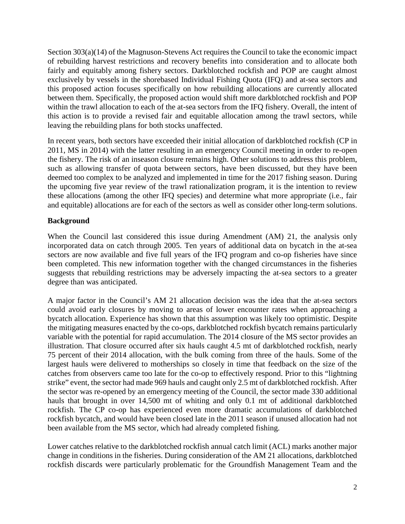Section 303(a)(14) of the Magnuson-Stevens Act requires the Council to take the economic impact of rebuilding harvest restrictions and recovery benefits into consideration and to allocate both fairly and equitably among fishery sectors. Darkblotched rockfish and POP are caught almost exclusively by vessels in the shorebased Individual Fishing Quota (IFQ) and at-sea sectors and this proposed action focuses specifically on how rebuilding allocations are currently allocated between them. Specifically, the proposed action would shift more darkblotched rockfish and POP within the trawl allocation to each of the at-sea sectors from the IFQ fishery. Overall, the intent of this action is to provide a revised fair and equitable allocation among the trawl sectors, while leaving the rebuilding plans for both stocks unaffected.

In recent years, both sectors have exceeded their initial allocation of darkblotched rockfish (CP in 2011, MS in 2014) with the latter resulting in an emergency Council meeting in order to re-open the fishery. The risk of an inseason closure remains high. Other solutions to address this problem, such as allowing transfer of quota between sectors, have been discussed, but they have been deemed too complex to be analyzed and implemented in time for the 2017 fishing season. During the upcoming five year review of the trawl rationalization program, it is the intention to review these allocations (among the other IFQ species) and determine what more appropriate (i.e., fair and equitable) allocations are for each of the sectors as well as consider other long-term solutions.

## **Background**

When the Council last considered this issue during Amendment (AM) 21, the analysis only incorporated data on catch through 2005. Ten years of additional data on bycatch in the at-sea sectors are now available and five full years of the IFQ program and co-op fisheries have since been completed. This new information together with the changed circumstances in the fisheries suggests that rebuilding restrictions may be adversely impacting the at-sea sectors to a greater degree than was anticipated.

A major factor in the Council's AM 21 allocation decision was the idea that the at-sea sectors could avoid early closures by moving to areas of lower encounter rates when approaching a bycatch allocation. Experience has shown that this assumption was likely too optimistic. Despite the mitigating measures enacted by the co-ops, darkblotched rockfish bycatch remains particularly variable with the potential for rapid accumulation. The 2014 closure of the MS sector provides an illustration. That closure occurred after six hauls caught 4.5 mt of darkblotched rockfish, nearly 75 percent of their 2014 allocation, with the bulk coming from three of the hauls. Some of the largest hauls were delivered to motherships so closely in time that feedback on the size of the catches from observers came too late for the co-op to effectively respond. Prior to this "lightning strike" event, the sector had made 969 hauls and caught only 2.5 mt of darkblotched rockfish. After the sector was re-opened by an emergency meeting of the Council, the sector made 330 additional hauls that brought in over 14,500 mt of whiting and only 0.1 mt of additional darkblotched rockfish. The CP co-op has experienced even more dramatic accumulations of darkblotched rockfish bycatch, and would have been closed late in the 2011 season if unused allocation had not been available from the MS sector, which had already completed fishing.

Lower catches relative to the darkblotched rockfish annual catch limit (ACL) marks another major change in conditions in the fisheries. During consideration of the AM 21 allocations, darkblotched rockfish discards were particularly problematic for the Groundfish Management Team and the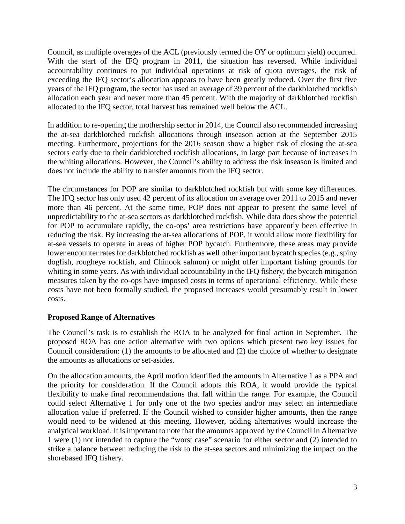Council, as multiple overages of the ACL (previously termed the OY or optimum yield) occurred. With the start of the IFQ program in 2011, the situation has reversed. While individual accountability continues to put individual operations at risk of quota overages, the risk of exceeding the IFQ sector's allocation appears to have been greatly reduced. Over the first five years of the IFQ program, the sector has used an average of 39 percent of the darkblotched rockfish allocation each year and never more than 45 percent. With the majority of darkblotched rockfish allocated to the IFQ sector, total harvest has remained well below the ACL.

In addition to re-opening the mothership sector in 2014, the Council also recommended increasing the at-sea darkblotched rockfish allocations through inseason action at the September 2015 meeting. Furthermore, projections for the 2016 season show a higher risk of closing the at-sea sectors early due to their darkblotched rockfish allocations, in large part because of increases in the whiting allocations. However, the Council's ability to address the risk inseason is limited and does not include the ability to transfer amounts from the IFQ sector.

The circumstances for POP are similar to darkblotched rockfish but with some key differences. The IFQ sector has only used 42 percent of its allocation on average over 2011 to 2015 and never more than 46 percent. At the same time, POP does not appear to present the same level of unpredictability to the at-sea sectors as darkblotched rockfish. While data does show the potential for POP to accumulate rapidly, the co-ops' area restrictions have apparently been effective in reducing the risk. By increasing the at-sea allocations of POP, it would allow more flexibility for at-sea vessels to operate in areas of higher POP bycatch. Furthermore, these areas may provide lower encounter rates for darkblotched rockfish as well other important bycatch species (e.g., spiny dogfish, rougheye rockfish, and Chinook salmon) or might offer important fishing grounds for whiting in some years. As with individual accountability in the IFQ fishery, the bycatch mitigation measures taken by the co-ops have imposed costs in terms of operational efficiency. While these costs have not been formally studied, the proposed increases would presumably result in lower costs.

## **Proposed Range of Alternatives**

The Council's task is to establish the ROA to be analyzed for final action in September. The proposed ROA has one action alternative with two options which present two key issues for Council consideration: (1) the amounts to be allocated and (2) the choice of whether to designate the amounts as allocations or set-asides.

On the allocation amounts, the April motion identified the amounts in Alternative 1 as a PPA and the priority for consideration. If the Council adopts this ROA, it would provide the typical flexibility to make final recommendations that fall within the range. For example, the Council could select Alternative 1 for only one of the two species and/or may select an intermediate allocation value if preferred. If the Council wished to consider higher amounts, then the range would need to be widened at this meeting. However, adding alternatives would increase the analytical workload. It is important to note that the amounts approved by the Council in Alternative 1 were (1) not intended to capture the "worst case" scenario for either sector and (2) intended to strike a balance between reducing the risk to the at-sea sectors and minimizing the impact on the shorebased IFQ fishery.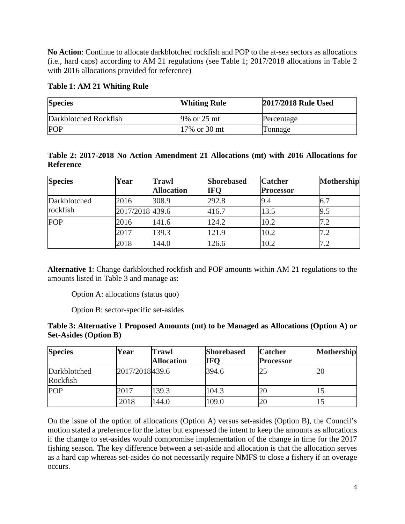**No Action**: Continue to allocate darkblotched rockfish and POP to the at-sea sectors as allocations (i.e., hard caps) according to AM 21 regulations (see Table 1; 2017/2018 allocations in Table 2 with 2016 allocations provided for reference)

# **Table 1: AM 21 Whiting Rule**

| <b>Species</b>        | <b>Whiting Rule</b> | 2017/2018 Rule Used |  |
|-----------------------|---------------------|---------------------|--|
| Darkblotched Rockfish | 9% or 25 mt         | Percentage          |  |
| <b>POP</b>            | $17\%$ or 30 mt     | Tonnage             |  |

|           |  | Table 2: 2017-2018 No Action Amendment 21 Allocations (mt) with 2016 Allocations for |  |  |  |  |
|-----------|--|--------------------------------------------------------------------------------------|--|--|--|--|
| Reference |  |                                                                                      |  |  |  |  |

| <b>Species</b> | Year            | <b>Trawl</b>      | <b>Shorebased</b> | <b>Catcher</b>   | <b>Mothership</b> |
|----------------|-----------------|-------------------|-------------------|------------------|-------------------|
|                |                 | <b>Allocation</b> | <b>IFQ</b>        | <b>Processor</b> |                   |
| Darkblotched   | 2016            | 308.9             | 292.8             | 9.4              | 6.7               |
| rockfish       | 2017/2018 439.6 |                   | 416.7             | 13.5             | 9.5               |
| <b>POP</b>     | 2016            | 141.6             | 124.2             | 10.2             | 7.2               |
|                | 2017            | 139.3             | 121.9             | 10.2             | 7.2               |
|                | 2018            | 144.0             | 126.6             | 10.2             |                   |

**Alternative 1**: Change darkblotched rockfish and POP amounts within AM 21 regulations to the amounts listed in [Table 3](#page-3-0) and manage as:

Option A: allocations (status quo)

Option B: sector-specific set-asides

<span id="page-3-0"></span>

| Table 3: Alternative 1 Proposed Amounts (mt) to be Managed as Allocations (Option A) or |  |
|-----------------------------------------------------------------------------------------|--|
| <b>Set-Asides (Option B)</b>                                                            |  |

| <b>Species</b>           | Year            | <b>Trawl</b>      | <b>Shorebased</b> | <b>Catcher</b>   | <b>Mothership</b> |
|--------------------------|-----------------|-------------------|-------------------|------------------|-------------------|
|                          |                 | <b>Allocation</b> | <b>IFO</b>        | <b>Processor</b> |                   |
| Darkblotched<br>Rockfish | 2017/2018 439.6 |                   | 394.6             | 25               | 20                |
| <b>POP</b>               | 2017            | 139.3             | 104.3             | 20               |                   |
|                          | 2018            | 144.0             | 109.0             | 20               |                   |

On the issue of the option of allocations (Option A) versus set-asides (Option B), the Council's motion stated a preference for the latter but expressed the intent to keep the amounts as allocations if the change to set-asides would compromise implementation of the change in time for the 2017 fishing season. The key difference between a set-aside and allocation is that the allocation serves as a hard cap whereas set-asides do not necessarily require NMFS to close a fishery if an overage occurs.